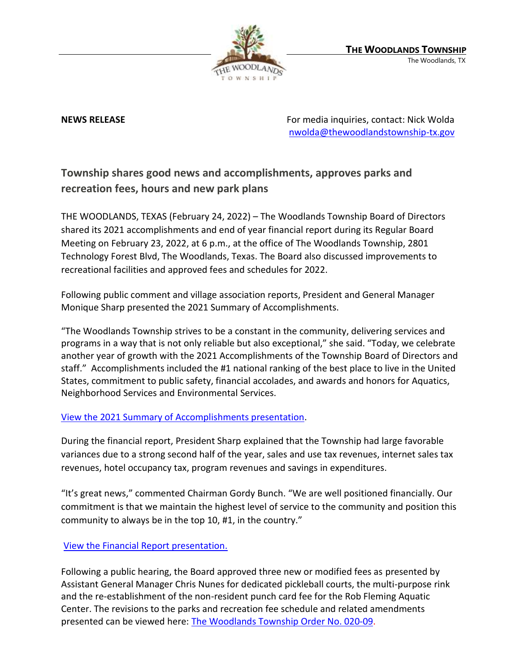

**NEWS RELEASE** For media inquiries, contact: Nick Wolda **NEWS** RELEASE [nwolda@thewoodlandstownship-tx.gov](mailto:nwolda@thewoodlandstownship-tx.gov)

# **Township shares good news and accomplishments, approves parks and recreation fees, hours and new park plans**

THE WOODLANDS, TEXAS (February 24, 2022) – The Woodlands Township Board of Directors shared its 2021 accomplishments and end of year financial report during its Regular Board Meeting on February 23, 2022, at 6 p.m., at the office of The Woodlands Township, 2801 Technology Forest Blvd, The Woodlands, Texas. The Board also discussed improvements to recreational facilities and approved fees and schedules for 2022.

Following public comment and village association reports, President and General Manager Monique Sharp presented the 2021 Summary of Accomplishments.

"The Woodlands Township strives to be a constant in the community, delivering services and programs in a way that is not only reliable but also exceptional," she said. "Today, we celebrate another year of growth with the 2021 Accomplishments of the Township Board of Directors and staff." Accomplishments included the #1 national ranking of the best place to live in the United States, commitment to public safety, financial accolades, and awards and honors for Aquatics, Neighborhood Services and Environmental Services.

# [View the 2021 Summary of Accomplishments presentation.](https://www.thewoodlandstownship-tx.gov/Archive.aspx?ADID=12128)

During the financial report, President Sharp explained that the Township had large favorable variances due to a strong second half of the year, sales and use tax revenues, internet sales tax revenues, hotel occupancy tax, program revenues and savings in expenditures.

"It's great news," commented Chairman Gordy Bunch. "We are well positioned financially. Our commitment is that we maintain the highest level of service to the community and position this community to always be in the top 10, #1, in the country."

### [View the Financial Report presentation.](https://www.thewoodlandstownship-tx.gov/ArchiveCenter/ViewFile/Item/12131)

Following a public hearing, the Board approved three new or modified fees as presented by Assistant General Manager Chris Nunes for dedicated pickleball courts, the multi-purpose rink and the re-establishment of the non-resident punch card fee for the Rob Fleming Aquatic Center. The revisions to the parks and recreation fee schedule and related amendments presented can be viewed here: [The Woodlands Township Order No. 020-09.](https://destinyhosted.com/woodldocs/2022/BODREG/20220223_3846/5021_Attachment_C_Township_Order_020-09_proposed_changes_Feb_2022_RH_edits_2.9_1020am.pdf)